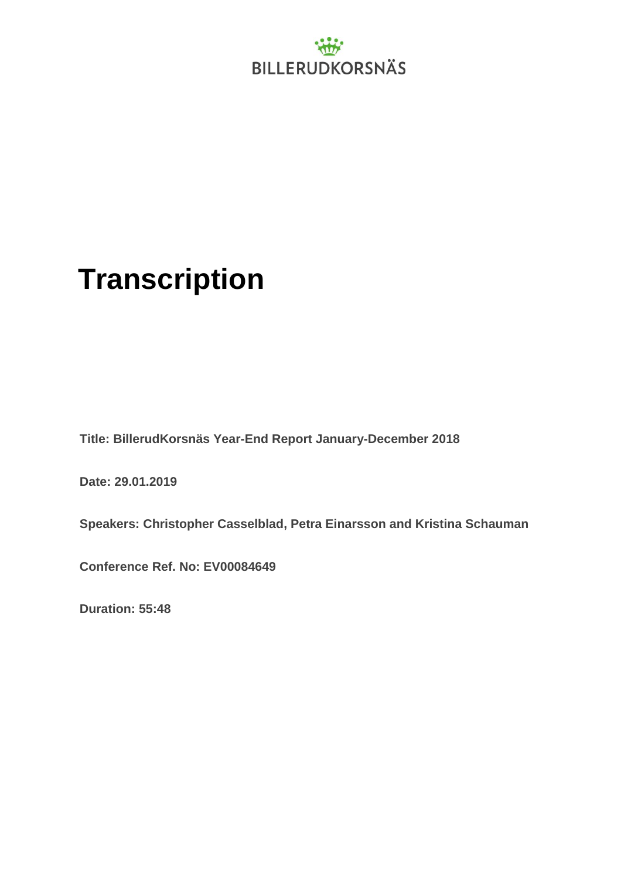

### **Transcription**

**Title: BillerudKorsnäs Year-End Report January-December 2018**

**Date: 29.01.2019**

**Speakers: Christopher Casselblad, Petra Einarsson and Kristina Schauman**

**Conference Ref. No: EV00084649**

**Duration: 55:48**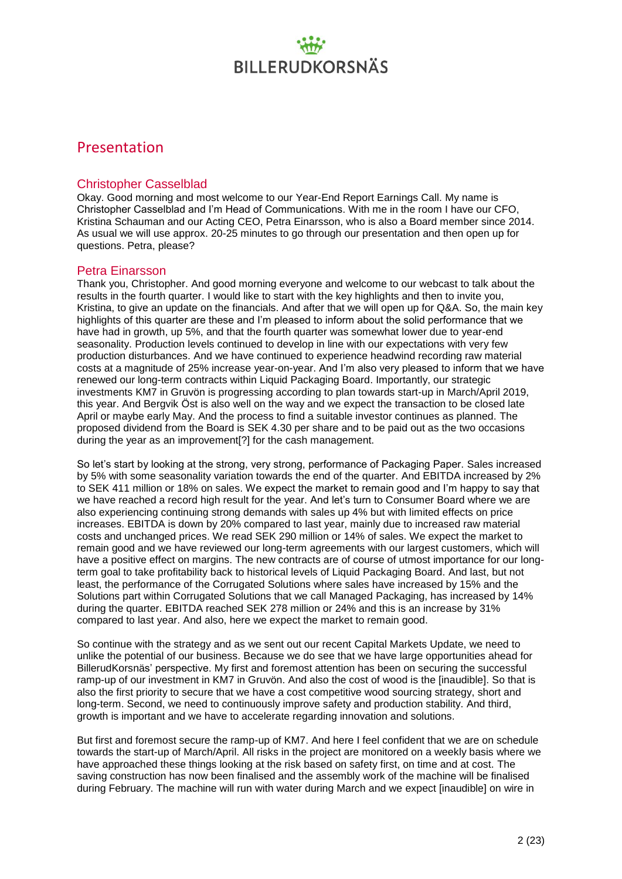### Presentation

#### Christopher Casselblad

Okay. Good morning and most welcome to our Year-End Report Earnings Call. My name is Christopher Casselblad and I'm Head of Communications. With me in the room I have our CFO, Kristina Schauman and our Acting CEO, Petra Einarsson, who is also a Board member since 2014. As usual we will use approx. 20-25 minutes to go through our presentation and then open up for questions. Petra, please?

#### Petra Einarsson

Thank you, Christopher. And good morning everyone and welcome to our webcast to talk about the results in the fourth quarter. I would like to start with the key highlights and then to invite you, Kristina, to give an update on the financials. And after that we will open up for Q&A. So, the main key highlights of this quarter are these and I'm pleased to inform about the solid performance that we have had in growth, up 5%, and that the fourth quarter was somewhat lower due to year-end seasonality. Production levels continued to develop in line with our expectations with very few production disturbances. And we have continued to experience headwind recording raw material costs at a magnitude of 25% increase year-on-year. And I'm also very pleased to inform that we have renewed our long-term contracts within Liquid Packaging Board. Importantly, our strategic investments KM7 in Gruvön is progressing according to plan towards start-up in March/April 2019, this year. And Bergvik Öst is also well on the way and we expect the transaction to be closed late April or maybe early May. And the process to find a suitable investor continues as planned. The proposed dividend from the Board is SEK 4.30 per share and to be paid out as the two occasions during the year as an improvement[?] for the cash management.

So let's start by looking at the strong, very strong, performance of Packaging Paper. Sales increased by 5% with some seasonality variation towards the end of the quarter. And EBITDA increased by 2% to SEK 411 million or 18% on sales. We expect the market to remain good and I'm happy to say that we have reached a record high result for the year. And let's turn to Consumer Board where we are also experiencing continuing strong demands with sales up 4% but with limited effects on price increases. EBITDA is down by 20% compared to last year, mainly due to increased raw material costs and unchanged prices. We read SEK 290 million or 14% of sales. We expect the market to remain good and we have reviewed our long-term agreements with our largest customers, which will have a positive effect on margins. The new contracts are of course of utmost importance for our longterm goal to take profitability back to historical levels of Liquid Packaging Board. And last, but not least, the performance of the Corrugated Solutions where sales have increased by 15% and the Solutions part within Corrugated Solutions that we call Managed Packaging, has increased by 14% during the quarter. EBITDA reached SEK 278 million or 24% and this is an increase by 31% compared to last year. And also, here we expect the market to remain good.

So continue with the strategy and as we sent out our recent Capital Markets Update, we need to unlike the potential of our business. Because we do see that we have large opportunities ahead for BillerudKorsnäs' perspective. My first and foremost attention has been on securing the successful ramp-up of our investment in KM7 in Gruvön. And also the cost of wood is the [inaudible]. So that is also the first priority to secure that we have a cost competitive wood sourcing strategy, short and long-term. Second, we need to continuously improve safety and production stability. And third, growth is important and we have to accelerate regarding innovation and solutions.

But first and foremost secure the ramp-up of KM7. And here I feel confident that we are on schedule towards the start-up of March/April. All risks in the project are monitored on a weekly basis where we have approached these things looking at the risk based on safety first, on time and at cost. The saving construction has now been finalised and the assembly work of the machine will be finalised during February. The machine will run with water during March and we expect [inaudible] on wire in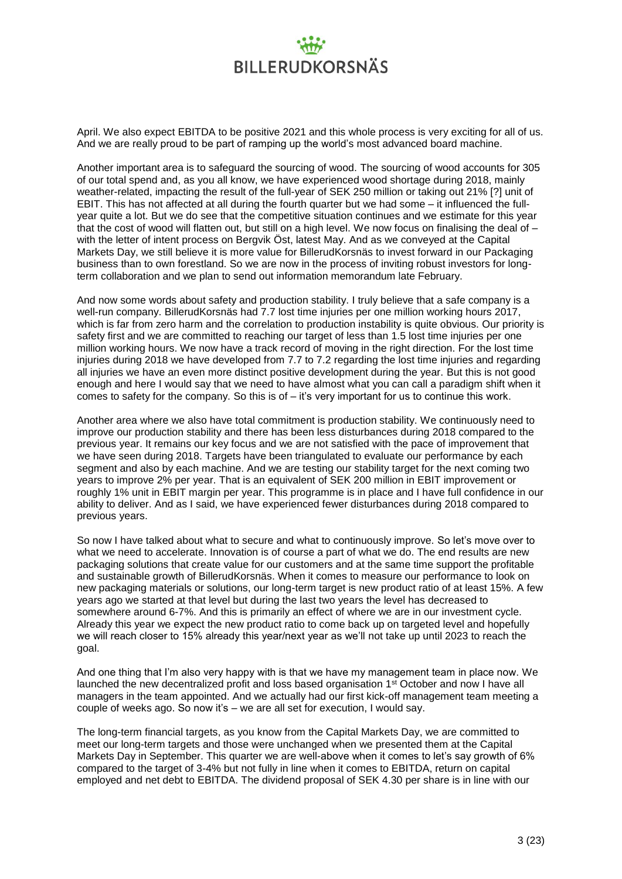April. We also expect EBITDA to be positive 2021 and this whole process is very exciting for all of us. And we are really proud to be part of ramping up the world's most advanced board machine.

Another important area is to safeguard the sourcing of wood. The sourcing of wood accounts for 305 of our total spend and, as you all know, we have experienced wood shortage during 2018, mainly weather-related, impacting the result of the full-year of SEK 250 million or taking out 21% [?] unit of EBIT. This has not affected at all during the fourth quarter but we had some – it influenced the fullyear quite a lot. But we do see that the competitive situation continues and we estimate for this year that the cost of wood will flatten out, but still on a high level. We now focus on finalising the deal of – with the letter of intent process on Bergvik Öst, latest May. And as we conveyed at the Capital Markets Day, we still believe it is more value for BillerudKorsnäs to invest forward in our Packaging business than to own forestland. So we are now in the process of inviting robust investors for longterm collaboration and we plan to send out information memorandum late February.

And now some words about safety and production stability. I truly believe that a safe company is a well-run company. BillerudKorsnäs had 7.7 lost time injuries per one million working hours 2017, which is far from zero harm and the correlation to production instability is quite obvious. Our priority is safety first and we are committed to reaching our target of less than 1.5 lost time injuries per one million working hours. We now have a track record of moving in the right direction. For the lost time injuries during 2018 we have developed from 7.7 to 7.2 regarding the lost time injuries and regarding all injuries we have an even more distinct positive development during the year. But this is not good enough and here I would say that we need to have almost what you can call a paradigm shift when it comes to safety for the company. So this is of – it's very important for us to continue this work.

Another area where we also have total commitment is production stability. We continuously need to improve our production stability and there has been less disturbances during 2018 compared to the previous year. It remains our key focus and we are not satisfied with the pace of improvement that we have seen during 2018. Targets have been triangulated to evaluate our performance by each segment and also by each machine. And we are testing our stability target for the next coming two years to improve 2% per year. That is an equivalent of SEK 200 million in EBIT improvement or roughly 1% unit in EBIT margin per year. This programme is in place and I have full confidence in our ability to deliver. And as I said, we have experienced fewer disturbances during 2018 compared to previous years.

So now I have talked about what to secure and what to continuously improve. So let's move over to what we need to accelerate. Innovation is of course a part of what we do. The end results are new packaging solutions that create value for our customers and at the same time support the profitable and sustainable growth of BillerudKorsnäs. When it comes to measure our performance to look on new packaging materials or solutions, our long-term target is new product ratio of at least 15%. A few years ago we started at that level but during the last two years the level has decreased to somewhere around 6-7%. And this is primarily an effect of where we are in our investment cycle. Already this year we expect the new product ratio to come back up on targeted level and hopefully we will reach closer to 15% already this year/next year as we'll not take up until 2023 to reach the goal.

And one thing that I'm also very happy with is that we have my management team in place now. We launched the new decentralized profit and loss based organisation 1st October and now I have all managers in the team appointed. And we actually had our first kick-off management team meeting a couple of weeks ago. So now it's – we are all set for execution, I would say.

The long-term financial targets, as you know from the Capital Markets Day, we are committed to meet our long-term targets and those were unchanged when we presented them at the Capital Markets Day in September. This quarter we are well-above when it comes to let's say growth of 6% compared to the target of 3-4% but not fully in line when it comes to EBITDA, return on capital employed and net debt to EBITDA. The dividend proposal of SEK 4.30 per share is in line with our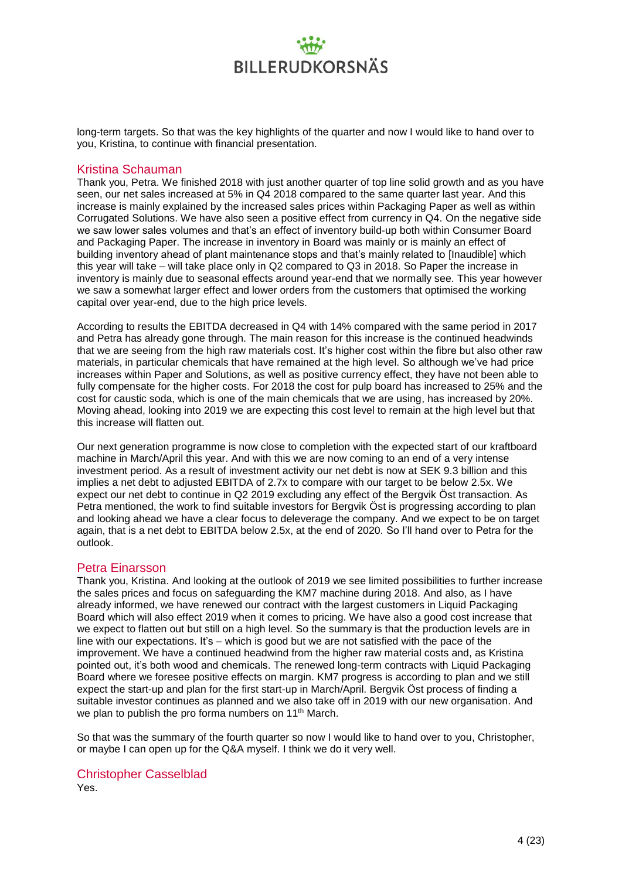long-term targets. So that was the key highlights of the quarter and now I would like to hand over to you, Kristina, to continue with financial presentation.

#### Kristina Schauman

Thank you, Petra. We finished 2018 with just another quarter of top line solid growth and as you have seen, our net sales increased at 5% in Q4 2018 compared to the same quarter last year. And this increase is mainly explained by the increased sales prices within Packaging Paper as well as within Corrugated Solutions. We have also seen a positive effect from currency in Q4. On the negative side we saw lower sales volumes and that's an effect of inventory build-up both within Consumer Board and Packaging Paper. The increase in inventory in Board was mainly or is mainly an effect of building inventory ahead of plant maintenance stops and that's mainly related to [Inaudible] which this year will take – will take place only in Q2 compared to Q3 in 2018. So Paper the increase in inventory is mainly due to seasonal effects around year-end that we normally see. This year however we saw a somewhat larger effect and lower orders from the customers that optimised the working capital over year-end, due to the high price levels.

According to results the EBITDA decreased in Q4 with 14% compared with the same period in 2017 and Petra has already gone through. The main reason for this increase is the continued headwinds that we are seeing from the high raw materials cost. It's higher cost within the fibre but also other raw materials, in particular chemicals that have remained at the high level. So although we've had price increases within Paper and Solutions, as well as positive currency effect, they have not been able to fully compensate for the higher costs. For 2018 the cost for pulp board has increased to 25% and the cost for caustic soda, which is one of the main chemicals that we are using, has increased by 20%. Moving ahead, looking into 2019 we are expecting this cost level to remain at the high level but that this increase will flatten out.

Our next generation programme is now close to completion with the expected start of our kraftboard machine in March/April this year. And with this we are now coming to an end of a very intense investment period. As a result of investment activity our net debt is now at SEK 9.3 billion and this implies a net debt to adjusted EBITDA of 2.7x to compare with our target to be below 2.5x. We expect our net debt to continue in Q2 2019 excluding any effect of the Bergvik Öst transaction. As Petra mentioned, the work to find suitable investors for Bergvik Öst is progressing according to plan and looking ahead we have a clear focus to deleverage the company. And we expect to be on target again, that is a net debt to EBITDA below 2.5x, at the end of 2020. So I'll hand over to Petra for the outlook.

#### Petra Einarsson

Thank you, Kristina. And looking at the outlook of 2019 we see limited possibilities to further increase the sales prices and focus on safeguarding the KM7 machine during 2018. And also, as I have already informed, we have renewed our contract with the largest customers in Liquid Packaging Board which will also effect 2019 when it comes to pricing. We have also a good cost increase that we expect to flatten out but still on a high level. So the summary is that the production levels are in line with our expectations. It's – which is good but we are not satisfied with the pace of the improvement. We have a continued headwind from the higher raw material costs and, as Kristina pointed out, it's both wood and chemicals. The renewed long-term contracts with Liquid Packaging Board where we foresee positive effects on margin. KM7 progress is according to plan and we still expect the start-up and plan for the first start-up in March/April. Bergvik Öst process of finding a suitable investor continues as planned and we also take off in 2019 with our new organisation. And we plan to publish the pro forma numbers on 11<sup>th</sup> March.

So that was the summary of the fourth quarter so now I would like to hand over to you, Christopher, or maybe I can open up for the Q&A myself. I think we do it very well.

#### Christopher Casselblad

Yes.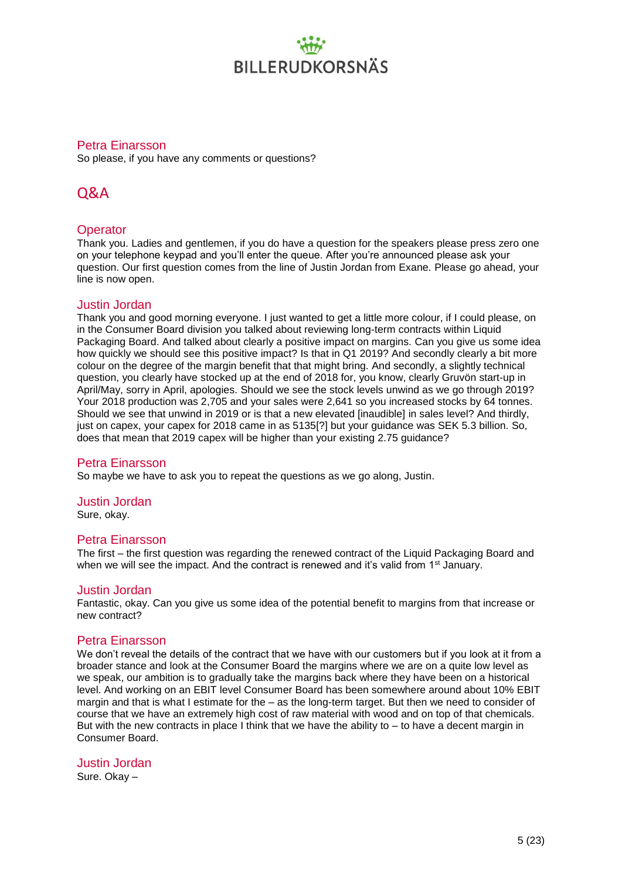#### Petra Einarsson

So please, if you have any comments or questions?

### Q&A

#### **Operator**

Thank you. Ladies and gentlemen, if you do have a question for the speakers please press zero one on your telephone keypad and you'll enter the queue. After you're announced please ask your question. Our first question comes from the line of Justin Jordan from Exane. Please go ahead, your line is now open.

#### Justin Jordan

Thank you and good morning everyone. I just wanted to get a little more colour, if I could please, on in the Consumer Board division you talked about reviewing long-term contracts within Liquid Packaging Board. And talked about clearly a positive impact on margins. Can you give us some idea how quickly we should see this positive impact? Is that in Q1 2019? And secondly clearly a bit more colour on the degree of the margin benefit that that might bring. And secondly, a slightly technical question, you clearly have stocked up at the end of 2018 for, you know, clearly Gruvön start-up in April/May, sorry in April, apologies. Should we see the stock levels unwind as we go through 2019? Your 2018 production was 2,705 and your sales were 2,641 so you increased stocks by 64 tonnes. Should we see that unwind in 2019 or is that a new elevated [inaudible] in sales level? And thirdly, just on capex, your capex for 2018 came in as 5135[?] but your guidance was SEK 5.3 billion. So, does that mean that 2019 capex will be higher than your existing 2.75 guidance?

#### Petra Einarsson

So maybe we have to ask you to repeat the questions as we go along, Justin.

#### Justin Jordan

Sure, okay.

#### Petra Einarsson

The first – the first question was regarding the renewed contract of the Liquid Packaging Board and when we will see the impact. And the contract is renewed and it's valid from 1<sup>st</sup> January.

#### Justin Jordan

Fantastic, okay. Can you give us some idea of the potential benefit to margins from that increase or new contract?

#### Petra Einarsson

We don't reveal the details of the contract that we have with our customers but if you look at it from a broader stance and look at the Consumer Board the margins where we are on a quite low level as we speak, our ambition is to gradually take the margins back where they have been on a historical level. And working on an EBIT level Consumer Board has been somewhere around about 10% EBIT margin and that is what I estimate for the – as the long-term target. But then we need to consider of course that we have an extremely high cost of raw material with wood and on top of that chemicals. But with the new contracts in place I think that we have the ability to – to have a decent margin in Consumer Board.

#### Justin Jordan

Sure. Okay –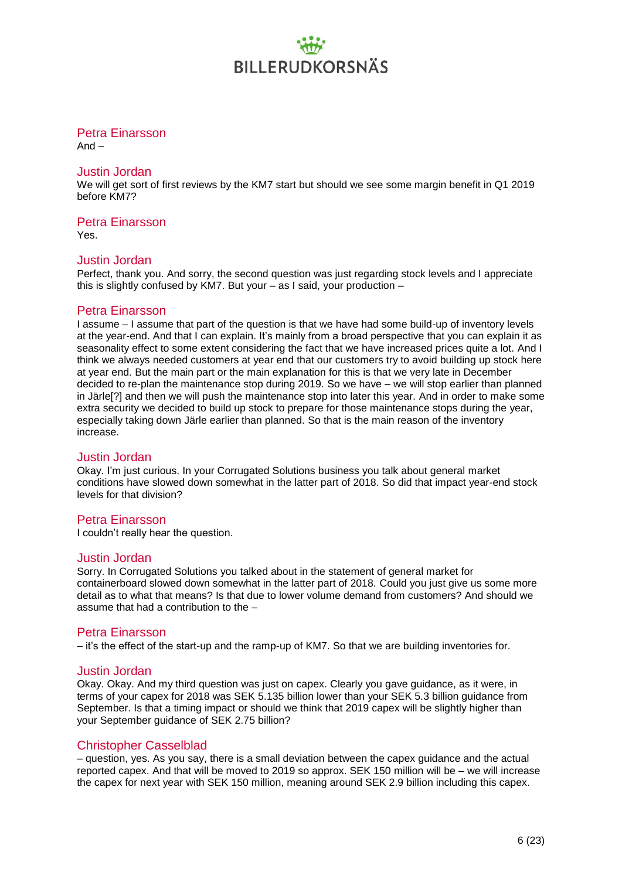#### Petra Einarsson

And –

#### Justin Jordan

We will get sort of first reviews by the KM7 start but should we see some margin benefit in Q1 2019 before KM7?

#### Petra Einarsson

Yes.

#### Justin Jordan

Perfect, thank you. And sorry, the second question was just regarding stock levels and I appreciate this is slightly confused by KM7. But your – as I said, your production –

#### Petra Einarsson

I assume – I assume that part of the question is that we have had some build-up of inventory levels at the year-end. And that I can explain. It's mainly from a broad perspective that you can explain it as seasonality effect to some extent considering the fact that we have increased prices quite a lot. And I think we always needed customers at year end that our customers try to avoid building up stock here at year end. But the main part or the main explanation for this is that we very late in December decided to re-plan the maintenance stop during 2019. So we have – we will stop earlier than planned in Järle[?] and then we will push the maintenance stop into later this year. And in order to make some extra security we decided to build up stock to prepare for those maintenance stops during the year, especially taking down Järle earlier than planned. So that is the main reason of the inventory increase.

#### Justin Jordan

Okay. I'm just curious. In your Corrugated Solutions business you talk about general market conditions have slowed down somewhat in the latter part of 2018. So did that impact year-end stock levels for that division?

#### Petra Einarsson

I couldn't really hear the question.

#### Justin Jordan

Sorry. In Corrugated Solutions you talked about in the statement of general market for containerboard slowed down somewhat in the latter part of 2018. Could you just give us some more detail as to what that means? Is that due to lower volume demand from customers? And should we assume that had a contribution to the –

#### Petra Einarsson

– it's the effect of the start-up and the ramp-up of KM7. So that we are building inventories for.

#### Justin Jordan

Okay. Okay. And my third question was just on capex. Clearly you gave guidance, as it were, in terms of your capex for 2018 was SEK 5.135 billion lower than your SEK 5.3 billion guidance from September. Is that a timing impact or should we think that 2019 capex will be slightly higher than your September guidance of SEK 2.75 billion?

#### Christopher Casselblad

– question, yes. As you say, there is a small deviation between the capex guidance and the actual reported capex. And that will be moved to 2019 so approx. SEK 150 million will be – we will increase the capex for next year with SEK 150 million, meaning around SEK 2.9 billion including this capex.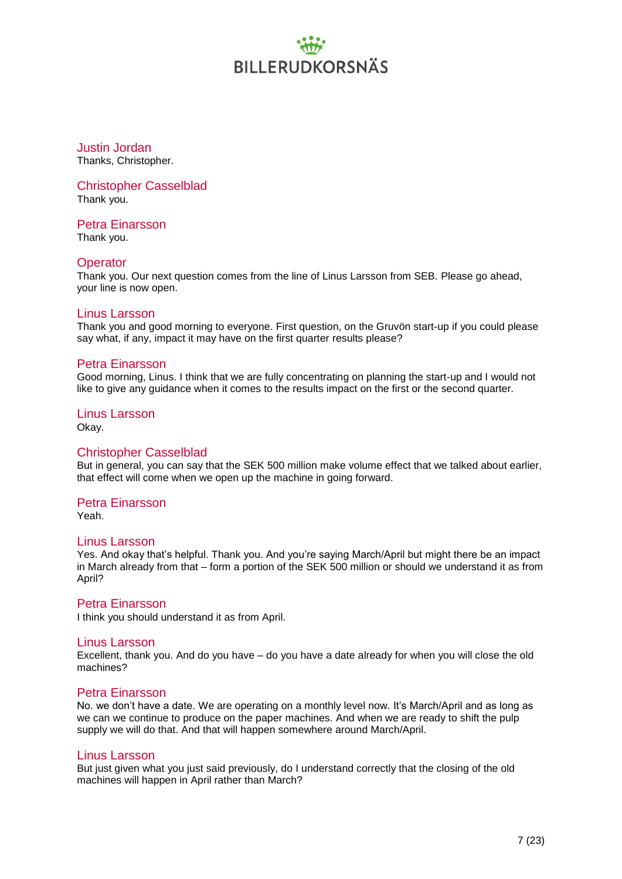Justin Jordan Thanks, Christopher.

Christopher Casselblad Thank you.

Petra Einarsson

Thank you.

#### **Operator**

Thank you. Our next question comes from the line of Linus Larsson from SEB. Please go ahead, your line is now open.

#### Linus Larsson

Thank you and good morning to everyone. First question, on the Gruvön start-up if you could please say what, if any, impact it may have on the first quarter results please?

#### Petra Einarsson

Good morning, Linus. I think that we are fully concentrating on planning the start-up and I would not like to give any guidance when it comes to the results impact on the first or the second quarter.

Linus Larsson Okay.

#### Christopher Casselblad

But in general, you can say that the SEK 500 million make volume effect that we talked about earlier, that effect will come when we open up the machine in going forward.

#### Petra Einarsson

Yeah.

#### Linus Larsson

Yes. And okay that's helpful. Thank you. And you're saying March/April but might there be an impact in March already from that – form a portion of the SEK 500 million or should we understand it as from April?

#### Petra Einarsson

I think you should understand it as from April.

#### Linus Larsson

Excellent, thank you. And do you have – do you have a date already for when you will close the old machines?

#### Petra Einarsson

No. we don't have a date. We are operating on a monthly level now. It's March/April and as long as we can we continue to produce on the paper machines. And when we are ready to shift the pulp supply we will do that. And that will happen somewhere around March/April.

#### Linus Larsson

But just given what you just said previously, do I understand correctly that the closing of the old machines will happen in April rather than March?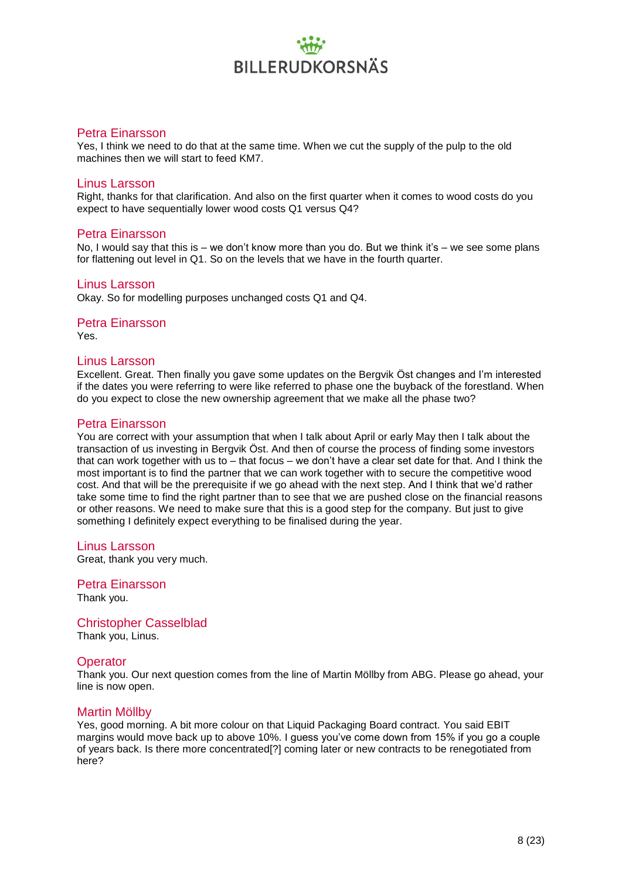#### Petra Einarsson

Yes, I think we need to do that at the same time. When we cut the supply of the pulp to the old machines then we will start to feed KM7.

#### Linus Larsson

Right, thanks for that clarification. And also on the first quarter when it comes to wood costs do you expect to have sequentially lower wood costs Q1 versus Q4?

#### Petra Einarsson

No, I would say that this is – we don't know more than you do. But we think it's – we see some plans for flattening out level in Q1. So on the levels that we have in the fourth quarter.

#### Linus Larsson

Okay. So for modelling purposes unchanged costs Q1 and Q4.

### Petra Einarsson

Yes.

#### Linus Larsson

Excellent. Great. Then finally you gave some updates on the Bergvik Öst changes and I'm interested if the dates you were referring to were like referred to phase one the buyback of the forestland. When do you expect to close the new ownership agreement that we make all the phase two?

#### Petra Einarsson

You are correct with your assumption that when I talk about April or early May then I talk about the transaction of us investing in Bergvik Öst. And then of course the process of finding some investors that can work together with us to – that focus – we don't have a clear set date for that. And I think the most important is to find the partner that we can work together with to secure the competitive wood cost. And that will be the prerequisite if we go ahead with the next step. And I think that we'd rather take some time to find the right partner than to see that we are pushed close on the financial reasons or other reasons. We need to make sure that this is a good step for the company. But just to give something I definitely expect everything to be finalised during the year.

Linus Larsson Great, thank you very much.

Petra Einarsson Thank you.

Christopher Casselblad Thank you, Linus.

#### **Operator**

Thank you. Our next question comes from the line of Martin Möllby from ABG. Please go ahead, your line is now open.

#### Martin Möllby

Yes, good morning. A bit more colour on that Liquid Packaging Board contract. You said EBIT margins would move back up to above 10%. I guess you've come down from 15% if you go a couple of years back. Is there more concentrated[?] coming later or new contracts to be renegotiated from here?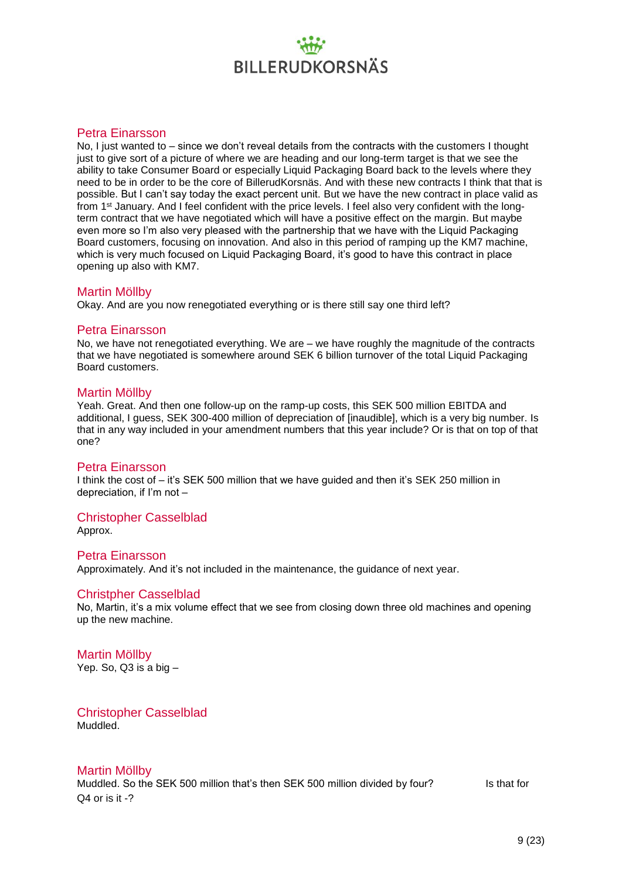#### Petra Einarsson

No, I just wanted to – since we don't reveal details from the contracts with the customers I thought just to give sort of a picture of where we are heading and our long-term target is that we see the ability to take Consumer Board or especially Liquid Packaging Board back to the levels where they need to be in order to be the core of BillerudKorsnäs. And with these new contracts I think that that is possible. But I can't say today the exact percent unit. But we have the new contract in place valid as from 1st January. And I feel confident with the price levels. I feel also very confident with the longterm contract that we have negotiated which will have a positive effect on the margin. But maybe even more so I'm also very pleased with the partnership that we have with the Liquid Packaging Board customers, focusing on innovation. And also in this period of ramping up the KM7 machine, which is very much focused on Liquid Packaging Board, it's good to have this contract in place opening up also with KM7.

#### Martin Möllby

Okay. And are you now renegotiated everything or is there still say one third left?

#### Petra Einarsson

No, we have not renegotiated everything. We are – we have roughly the magnitude of the contracts that we have negotiated is somewhere around SEK 6 billion turnover of the total Liquid Packaging Board customers.

#### Martin Möllby

Yeah. Great. And then one follow-up on the ramp-up costs, this SEK 500 million EBITDA and additional, I guess, SEK 300-400 million of depreciation of [inaudible], which is a very big number. Is that in any way included in your amendment numbers that this year include? Or is that on top of that one?

#### Petra Einarsson

I think the cost of – it's SEK 500 million that we have guided and then it's SEK 250 million in depreciation, if I'm not –

#### Christopher Casselblad

Approx.

#### Petra Einarsson

Approximately. And it's not included in the maintenance, the guidance of next year.

#### Christpher Casselblad

No, Martin, it's a mix volume effect that we see from closing down three old machines and opening up the new machine.

#### Martin Möllby Yep. So,  $Q3$  is a big  $-$

Christopher Casselblad Muddled.

#### Martin Möllby

Muddled. So the SEK 500 million that's then SEK 500 million divided by four? Is that for Q4 or is it -?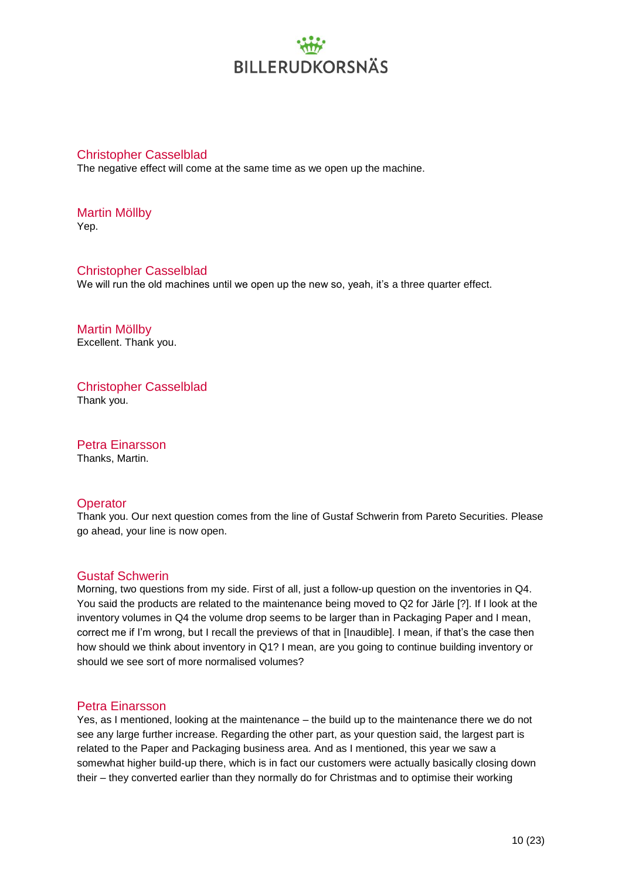#### Christopher Casselblad

The negative effect will come at the same time as we open up the machine.

Martin Möllby Yep.

Christopher Casselblad We will run the old machines until we open up the new so, yeah, it's a three quarter effect.

Martin Möllby Excellent. Thank you.

Christopher Casselblad Thank you.

Petra Einarsson Thanks, Martin.

#### **Operator**

Thank you. Our next question comes from the line of Gustaf Schwerin from Pareto Securities. Please go ahead, your line is now open.

#### Gustaf Schwerin

Morning, two questions from my side. First of all, just a follow-up question on the inventories in Q4. You said the products are related to the maintenance being moved to Q2 for Järle [?]. If I look at the inventory volumes in Q4 the volume drop seems to be larger than in Packaging Paper and I mean, correct me if I'm wrong, but I recall the previews of that in [Inaudible]. I mean, if that's the case then how should we think about inventory in Q1? I mean, are you going to continue building inventory or should we see sort of more normalised volumes?

#### Petra Einarsson

Yes, as I mentioned, looking at the maintenance – the build up to the maintenance there we do not see any large further increase. Regarding the other part, as your question said, the largest part is related to the Paper and Packaging business area. And as I mentioned, this year we saw a somewhat higher build-up there, which is in fact our customers were actually basically closing down their – they converted earlier than they normally do for Christmas and to optimise their working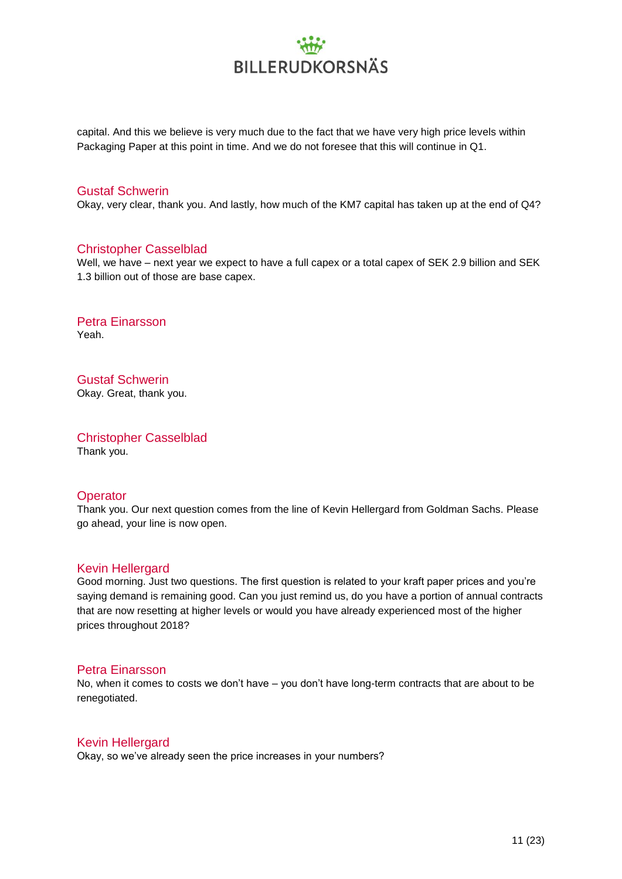capital. And this we believe is very much due to the fact that we have very high price levels within Packaging Paper at this point in time. And we do not foresee that this will continue in Q1.

#### Gustaf Schwerin

Okay, very clear, thank you. And lastly, how much of the KM7 capital has taken up at the end of Q4?

#### Christopher Casselblad

Well, we have – next year we expect to have a full capex or a total capex of SEK 2.9 billion and SEK 1.3 billion out of those are base capex.

#### Petra Einarsson Yeah.

Gustaf Schwerin

Okay. Great, thank you.

Christopher Casselblad Thank you.

#### **Operator**

Thank you. Our next question comes from the line of Kevin Hellergard from Goldman Sachs. Please go ahead, your line is now open.

#### Kevin Hellergard

Good morning. Just two questions. The first question is related to your kraft paper prices and you're saying demand is remaining good. Can you just remind us, do you have a portion of annual contracts that are now resetting at higher levels or would you have already experienced most of the higher prices throughout 2018?

#### Petra Einarsson

No, when it comes to costs we don't have – you don't have long-term contracts that are about to be renegotiated.

#### Kevin Hellergard

Okay, so we've already seen the price increases in your numbers?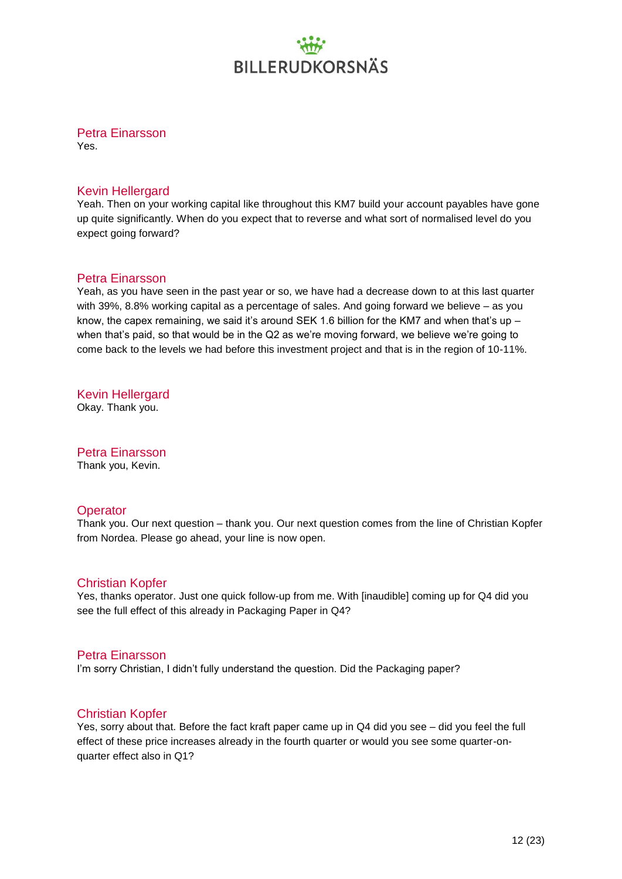Petra Einarsson

Yes.

#### Kevin Hellergard

Yeah. Then on your working capital like throughout this KM7 build your account payables have gone up quite significantly. When do you expect that to reverse and what sort of normalised level do you expect going forward?

#### Petra Einarsson

Yeah, as you have seen in the past year or so, we have had a decrease down to at this last quarter with 39%, 8.8% working capital as a percentage of sales. And going forward we believe – as you know, the capex remaining, we said it's around SEK 1.6 billion for the KM7 and when that's up  $$ when that's paid, so that would be in the Q2 as we're moving forward, we believe we're going to come back to the levels we had before this investment project and that is in the region of 10-11%.

Kevin Hellergard Okay. Thank you.

Petra Einarsson Thank you, Kevin.

#### **Operator**

Thank you. Our next question – thank you. Our next question comes from the line of Christian Kopfer from Nordea. Please go ahead, your line is now open.

#### Christian Kopfer

Yes, thanks operator. Just one quick follow-up from me. With [inaudible] coming up for Q4 did you see the full effect of this already in Packaging Paper in Q4?

#### Petra Einarsson

I'm sorry Christian, I didn't fully understand the question. Did the Packaging paper?

#### Christian Kopfer

Yes, sorry about that. Before the fact kraft paper came up in Q4 did you see – did you feel the full effect of these price increases already in the fourth quarter or would you see some quarter-onquarter effect also in Q1?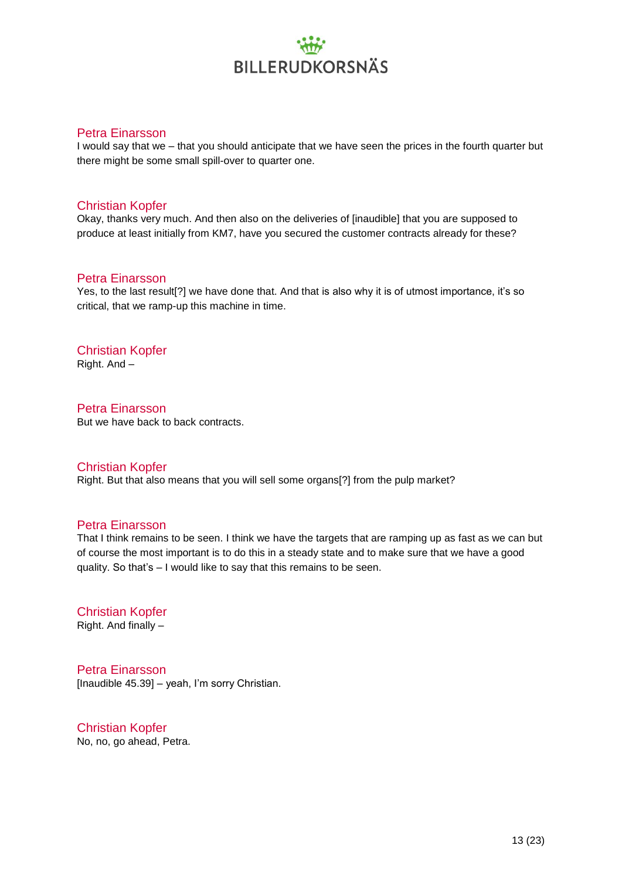#### Petra Einarsson

I would say that we – that you should anticipate that we have seen the prices in the fourth quarter but there might be some small spill-over to quarter one.

#### Christian Kopfer

Okay, thanks very much. And then also on the deliveries of [inaudible] that you are supposed to produce at least initially from KM7, have you secured the customer contracts already for these?

#### Petra Einarsson

Yes, to the last result[?] we have done that. And that is also why it is of utmost importance, it's so critical, that we ramp-up this machine in time.

### Christian Kopfer

Right. And –

### Petra Einarsson

But we have back to back contracts.

#### Christian Kopfer

Right. But that also means that you will sell some organs[?] from the pulp market?

#### Petra Einarsson

That I think remains to be seen. I think we have the targets that are ramping up as fast as we can but of course the most important is to do this in a steady state and to make sure that we have a good quality. So that's – I would like to say that this remains to be seen.

#### Christian Kopfer Right. And finally –

Petra Einarsson [Inaudible 45.39] – yeah, I'm sorry Christian.

Christian Kopfer No, no, go ahead, Petra.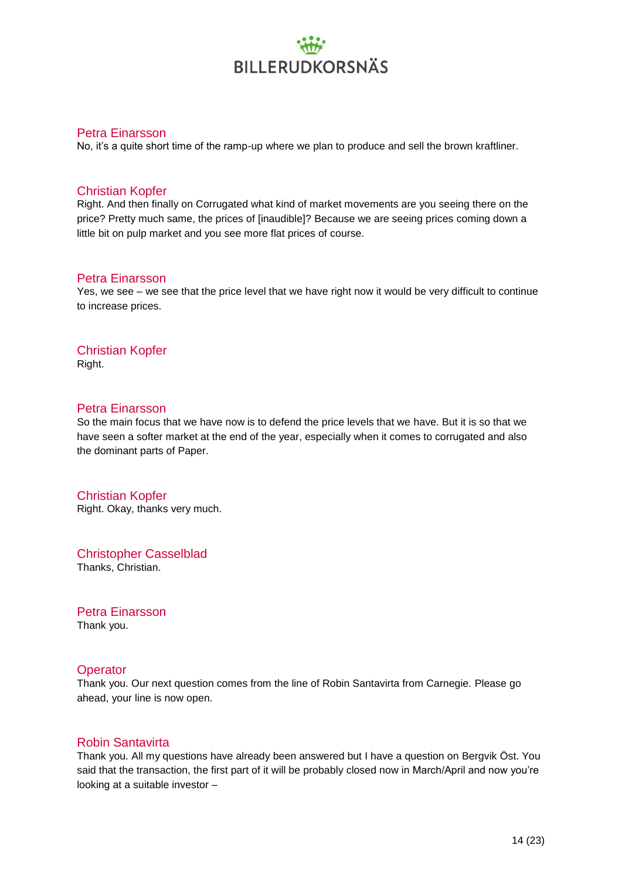#### Petra Einarsson

No, it's a quite short time of the ramp-up where we plan to produce and sell the brown kraftliner.

#### Christian Kopfer

Right. And then finally on Corrugated what kind of market movements are you seeing there on the price? Pretty much same, the prices of [inaudible]? Because we are seeing prices coming down a little bit on pulp market and you see more flat prices of course.

#### Petra Einarsson

Yes, we see – we see that the price level that we have right now it would be very difficult to continue to increase prices.

Christian Kopfer Right.

#### Petra Einarsson

So the main focus that we have now is to defend the price levels that we have. But it is so that we have seen a softer market at the end of the year, especially when it comes to corrugated and also the dominant parts of Paper.

Christian Kopfer Right. Okay, thanks very much.

Christopher Casselblad Thanks, Christian.

Petra Einarsson Thank you.

#### **Operator**

Thank you. Our next question comes from the line of Robin Santavirta from Carnegie. Please go ahead, your line is now open.

#### Robin Santavirta

Thank you. All my questions have already been answered but I have a question on Bergvik Öst. You said that the transaction, the first part of it will be probably closed now in March/April and now you're looking at a suitable investor –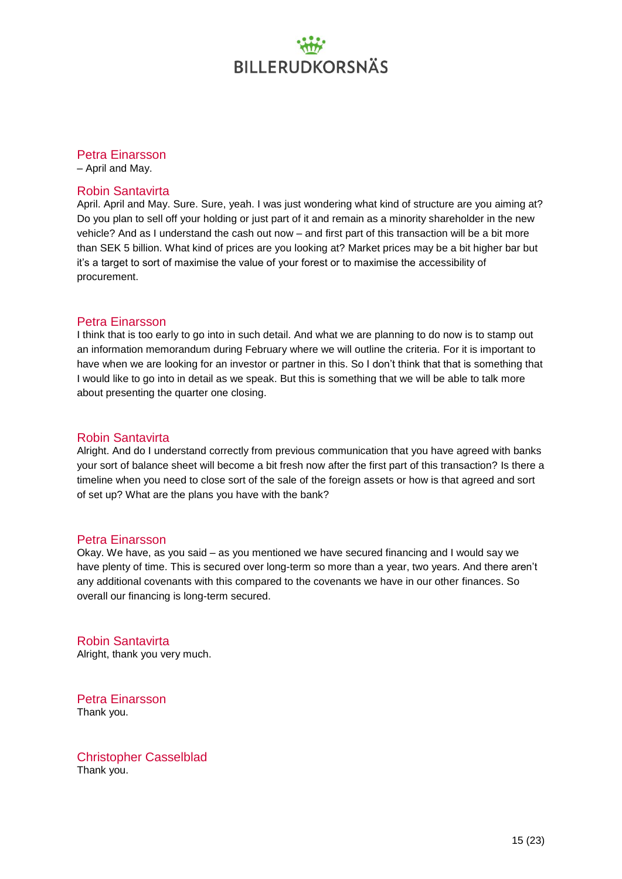#### Petra Einarsson

– April and May.

#### Robin Santavirta

April. April and May. Sure. Sure, yeah. I was just wondering what kind of structure are you aiming at? Do you plan to sell off your holding or just part of it and remain as a minority shareholder in the new vehicle? And as I understand the cash out now – and first part of this transaction will be a bit more than SEK 5 billion. What kind of prices are you looking at? Market prices may be a bit higher bar but it's a target to sort of maximise the value of your forest or to maximise the accessibility of procurement.

#### Petra Einarsson

I think that is too early to go into in such detail. And what we are planning to do now is to stamp out an information memorandum during February where we will outline the criteria. For it is important to have when we are looking for an investor or partner in this. So I don't think that that is something that I would like to go into in detail as we speak. But this is something that we will be able to talk more about presenting the quarter one closing.

#### Robin Santavirta

Alright. And do I understand correctly from previous communication that you have agreed with banks your sort of balance sheet will become a bit fresh now after the first part of this transaction? Is there a timeline when you need to close sort of the sale of the foreign assets or how is that agreed and sort of set up? What are the plans you have with the bank?

#### Petra Einarsson

Okay. We have, as you said – as you mentioned we have secured financing and I would say we have plenty of time. This is secured over long-term so more than a year, two years. And there aren't any additional covenants with this compared to the covenants we have in our other finances. So overall our financing is long-term secured.

#### Robin Santavirta

Alright, thank you very much.

Petra Einarsson Thank you.

Christopher Casselblad Thank you.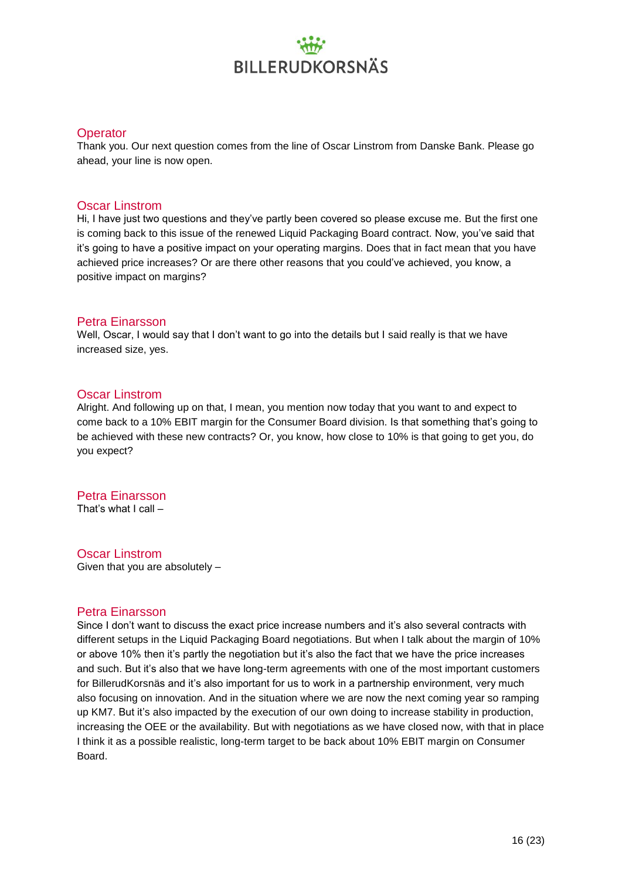#### **Operator**

Thank you. Our next question comes from the line of Oscar Linstrom from Danske Bank. Please go ahead, your line is now open.

#### Oscar Linstrom

Hi, I have just two questions and they've partly been covered so please excuse me. But the first one is coming back to this issue of the renewed Liquid Packaging Board contract. Now, you've said that it's going to have a positive impact on your operating margins. Does that in fact mean that you have achieved price increases? Or are there other reasons that you could've achieved, you know, a positive impact on margins?

#### Petra Einarsson

Well, Oscar, I would say that I don't want to go into the details but I said really is that we have increased size, yes.

#### Oscar Linstrom

Alright. And following up on that, I mean, you mention now today that you want to and expect to come back to a 10% EBIT margin for the Consumer Board division. Is that something that's going to be achieved with these new contracts? Or, you know, how close to 10% is that going to get you, do you expect?

### Petra Einarsson

That's what I call –

### Oscar Linstrom

Given that you are absolutely –

#### Petra Einarsson

Since I don't want to discuss the exact price increase numbers and it's also several contracts with different setups in the Liquid Packaging Board negotiations. But when I talk about the margin of 10% or above 10% then it's partly the negotiation but it's also the fact that we have the price increases and such. But it's also that we have long-term agreements with one of the most important customers for BillerudKorsnäs and it's also important for us to work in a partnership environment, very much also focusing on innovation. And in the situation where we are now the next coming year so ramping up KM7. But it's also impacted by the execution of our own doing to increase stability in production, increasing the OEE or the availability. But with negotiations as we have closed now, with that in place I think it as a possible realistic, long-term target to be back about 10% EBIT margin on Consumer Board.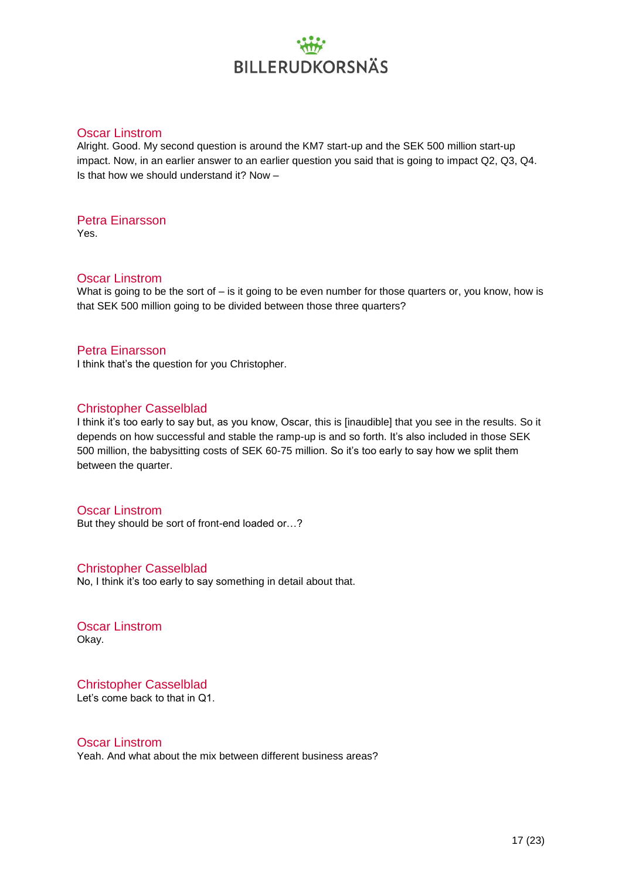#### Oscar Linstrom

Alright. Good. My second question is around the KM7 start-up and the SEK 500 million start-up impact. Now, in an earlier answer to an earlier question you said that is going to impact Q2, Q3, Q4. Is that how we should understand it? Now –

Petra Einarsson Yes.

#### Oscar Linstrom

What is going to be the sort of – is it going to be even number for those quarters or, you know, how is that SEK 500 million going to be divided between those three quarters?

#### Petra Einarsson

I think that's the question for you Christopher.

#### Christopher Casselblad

I think it's too early to say but, as you know, Oscar, this is [inaudible] that you see in the results. So it depends on how successful and stable the ramp-up is and so forth. It's also included in those SEK 500 million, the babysitting costs of SEK 60-75 million. So it's too early to say how we split them between the quarter.

#### Oscar Linstrom

But they should be sort of front-end loaded or…?

#### Christopher Casselblad

No, I think it's too early to say something in detail about that.

Oscar Linstrom Okay.

Christopher Casselblad Let's come back to that in Q1.

#### Oscar Linstrom

Yeah. And what about the mix between different business areas?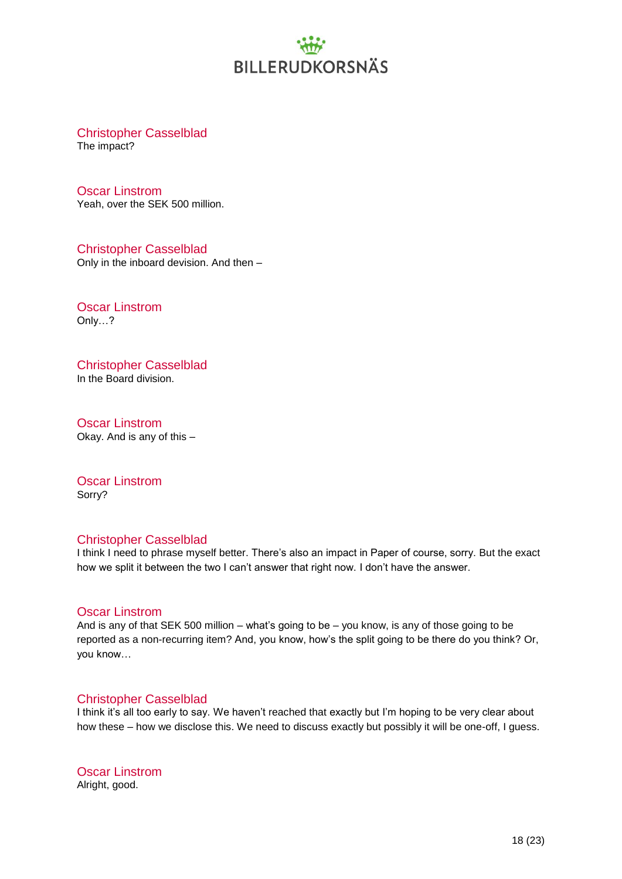Christopher Casselblad

The impact?

Oscar Linstrom Yeah, over the SEK 500 million.

Christopher Casselblad Only in the inboard devision. And then –

Oscar Linstrom Only…?

Christopher Casselblad In the Board division.

Oscar Linstrom Okay. And is any of this –

Oscar Linstrom Sorry?

#### Christopher Casselblad

I think I need to phrase myself better. There's also an impact in Paper of course, sorry. But the exact how we split it between the two I can't answer that right now. I don't have the answer.

#### Oscar Linstrom

And is any of that SEK 500 million – what's going to be – you know, is any of those going to be reported as a non-recurring item? And, you know, how's the split going to be there do you think? Or, you know…

#### Christopher Casselblad

I think it's all too early to say. We haven't reached that exactly but I'm hoping to be very clear about how these – how we disclose this. We need to discuss exactly but possibly it will be one-off, I guess.

Oscar Linstrom Alright, good.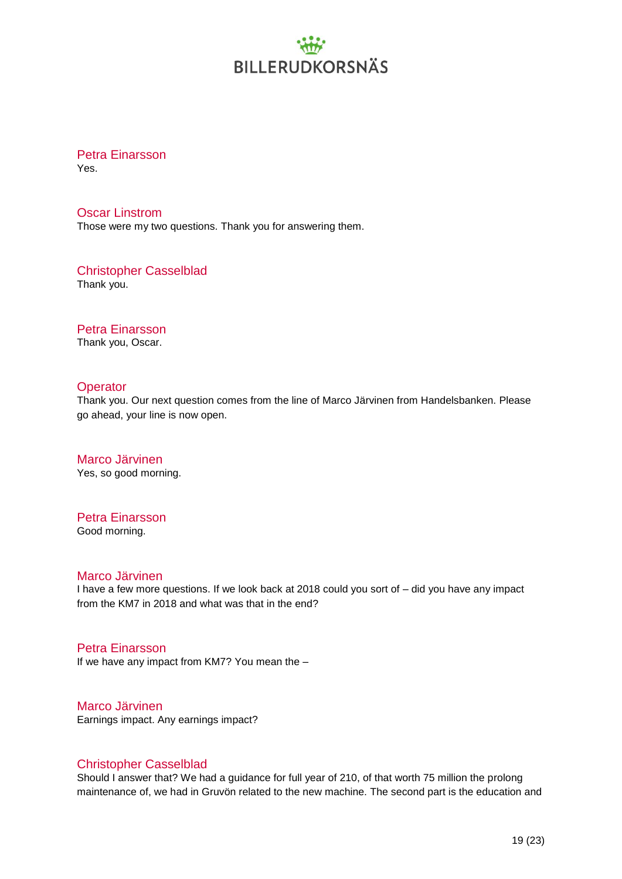Petra Einarsson Yes.

Oscar Linstrom Those were my two questions. Thank you for answering them.

Christopher Casselblad Thank you.

Petra Einarsson Thank you, Oscar.

#### **Operator**

Thank you. Our next question comes from the line of Marco Järvinen from Handelsbanken. Please go ahead, your line is now open.

Marco Järvinen Yes, so good morning.

### Petra Einarsson

Good morning.

#### Marco Järvinen

I have a few more questions. If we look back at 2018 could you sort of – did you have any impact from the KM7 in 2018 and what was that in the end?

#### Petra Einarsson

If we have any impact from KM7? You mean the –

Marco Järvinen

Earnings impact. Any earnings impact?

#### Christopher Casselblad

Should I answer that? We had a guidance for full year of 210, of that worth 75 million the prolong maintenance of, we had in Gruvön related to the new machine. The second part is the education and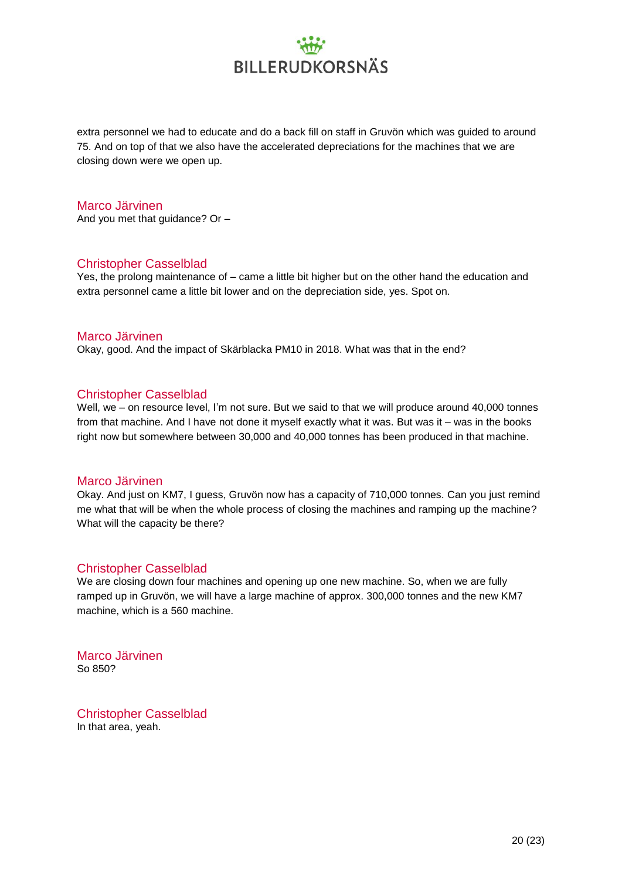extra personnel we had to educate and do a back fill on staff in Gruvön which was guided to around 75. And on top of that we also have the accelerated depreciations for the machines that we are closing down were we open up.

#### Marco Järvinen

And you met that guidance? Or –

#### Christopher Casselblad

Yes, the prolong maintenance of – came a little bit higher but on the other hand the education and extra personnel came a little bit lower and on the depreciation side, yes. Spot on.

#### Marco Järvinen

Okay, good. And the impact of Skärblacka PM10 in 2018. What was that in the end?

#### Christopher Casselblad

Well, we – on resource level, I'm not sure. But we said to that we will produce around 40,000 tonnes from that machine. And I have not done it myself exactly what it was. But was it – was in the books right now but somewhere between 30,000 and 40,000 tonnes has been produced in that machine.

#### Marco Järvinen

Okay. And just on KM7, I guess, Gruvön now has a capacity of 710,000 tonnes. Can you just remind me what that will be when the whole process of closing the machines and ramping up the machine? What will the capacity be there?

#### Christopher Casselblad

We are closing down four machines and opening up one new machine. So, when we are fully ramped up in Gruvön, we will have a large machine of approx. 300,000 tonnes and the new KM7 machine, which is a 560 machine.

Marco Järvinen So 850?

Christopher Casselblad In that area, yeah.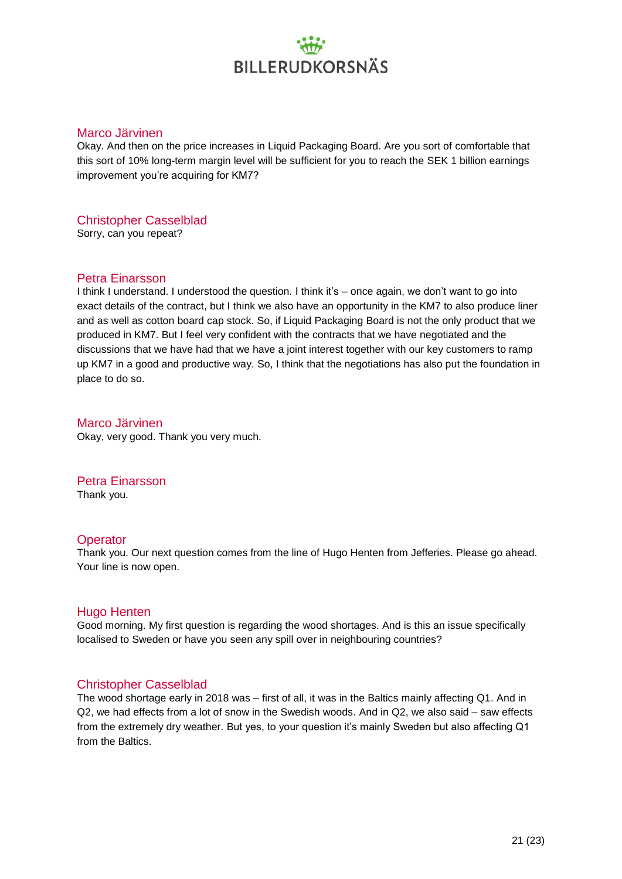#### Marco Järvinen

Okay. And then on the price increases in Liquid Packaging Board. Are you sort of comfortable that this sort of 10% long-term margin level will be sufficient for you to reach the SEK 1 billion earnings improvement you're acquiring for KM7?

### Christopher Casselblad

Sorry, can you repeat?

#### Petra Einarsson

I think I understand. I understood the question. I think it's – once again, we don't want to go into exact details of the contract, but I think we also have an opportunity in the KM7 to also produce liner and as well as cotton board cap stock. So, if Liquid Packaging Board is not the only product that we produced in KM7. But I feel very confident with the contracts that we have negotiated and the discussions that we have had that we have a joint interest together with our key customers to ramp up KM7 in a good and productive way. So, I think that the negotiations has also put the foundation in place to do so.

#### Marco Järvinen Okay, very good. Thank you very much.

#### Petra Einarsson

Thank you.

#### **Operator**

Thank you. Our next question comes from the line of Hugo Henten from Jefferies. Please go ahead. Your line is now open.

#### Hugo Henten

Good morning. My first question is regarding the wood shortages. And is this an issue specifically localised to Sweden or have you seen any spill over in neighbouring countries?

#### Christopher Casselblad

The wood shortage early in 2018 was – first of all, it was in the Baltics mainly affecting Q1. And in Q2, we had effects from a lot of snow in the Swedish woods. And in Q2, we also said – saw effects from the extremely dry weather. But yes, to your question it's mainly Sweden but also affecting Q1 from the Baltics.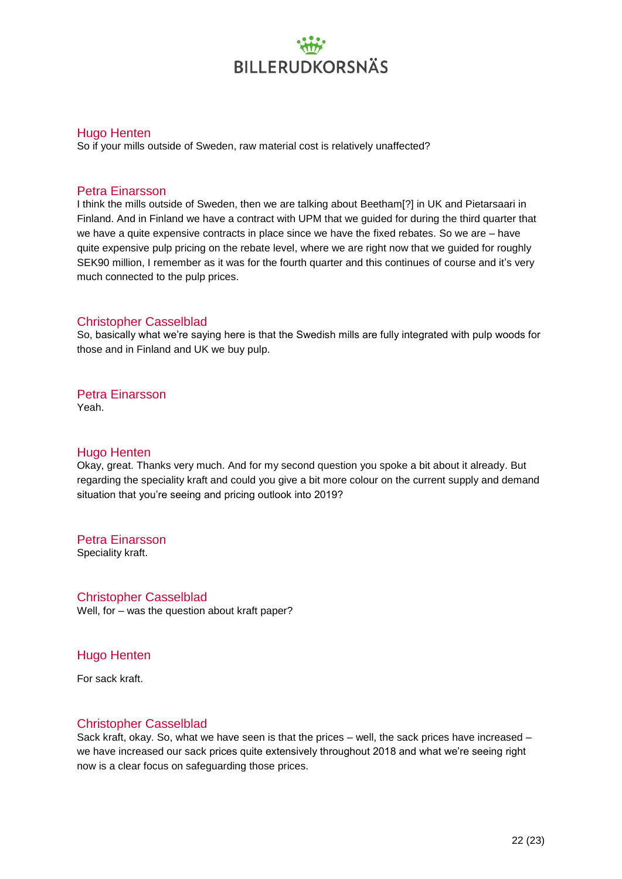#### Hugo Henten

So if your mills outside of Sweden, raw material cost is relatively unaffected?

#### Petra Einarsson

I think the mills outside of Sweden, then we are talking about Beetham[?] in UK and Pietarsaari in Finland. And in Finland we have a contract with UPM that we guided for during the third quarter that we have a quite expensive contracts in place since we have the fixed rebates. So we are – have quite expensive pulp pricing on the rebate level, where we are right now that we guided for roughly SEK90 million, I remember as it was for the fourth quarter and this continues of course and it's very much connected to the pulp prices.

#### Christopher Casselblad

So, basically what we're saying here is that the Swedish mills are fully integrated with pulp woods for those and in Finland and UK we buy pulp.

Petra Einarsson

Yeah.

#### Hugo Henten

Okay, great. Thanks very much. And for my second question you spoke a bit about it already. But regarding the speciality kraft and could you give a bit more colour on the current supply and demand situation that you're seeing and pricing outlook into 2019?

Petra Einarsson

Speciality kraft.

Christopher Casselblad Well, for – was the question about kraft paper?

#### Hugo Henten

For sack kraft.

#### Christopher Casselblad

Sack kraft, okay. So, what we have seen is that the prices – well, the sack prices have increased – we have increased our sack prices quite extensively throughout 2018 and what we're seeing right now is a clear focus on safeguarding those prices.